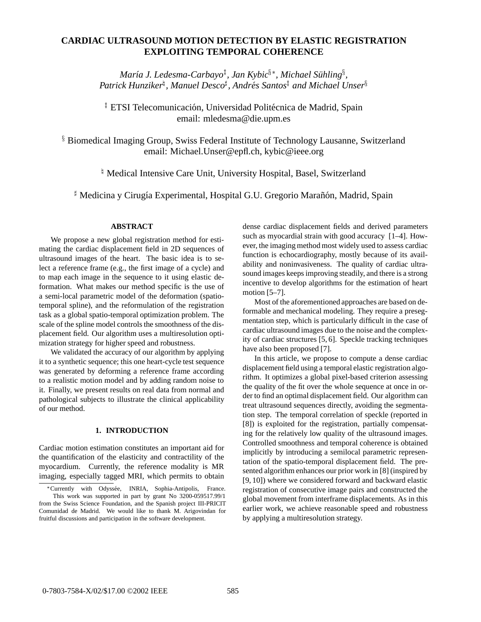# **CARDIAC ULTRASOUND MOTION DETECTION BY ELASTIC REGISTRATION EXPLOITING TEMPORAL COHERENCE**

 $M$ aría J. Ledesma-Carbayo $^{\ddagger}$ , Jan Kybic $^{\S*}$ , Michael Sühling $^{\S},$ *Patrick Hunziker , Manuel Desco*- *, Andres Santos ´ and Michael Unser*-

<sup>‡</sup> ETSI Telecomunicación, Universidad Politécnica de Madrid, Spain email: mledesma@die.upm.es

<sup>§</sup> Biomedical Imaging Group, Swiss Federal Institute of Technology Lausanne, Switzerland email: Michael.Unser@epfl.ch, kybic@ieee.org

Medical Intensive Care Unit, University Hospital, Basel, Switzerland

<sup>‡</sup> Medicina y Cirugía Experimental, Hospital G.U. Gregorio Marañón, Madrid, Spain

## **ABSTRACT**

We propose a new global registration method for estimating the cardiac displacement field in 2D sequences of ultrasound images of the heart. The basic idea is to select a reference frame (e.g., the first image of a cycle) and to map each image in the sequence to it using elastic deformation. What makes our method specific is the use of a semi-local parametric model of the deformation (spatiotemporal spline), and the reformulation of the registration task as a global spatio-temporal optimization problem. The scale of the spline model controls the smoothness of the displacement field. Our algorithm uses a multiresolution optimization strategy for higher speed and robustness.

We validated the accuracy of our algorithm by applying it to a synthetic sequence; this one heart-cycle test sequence was generated by deforming a reference frame according to a realistic motion model and by adding random noise to it. Finally, we present results on real data from normal and pathological subjects to illustrate the clinical applicability of our method.

## **1. INTRODUCTION**

Cardiac motion estimation constitutes an important aid for the quantification of the elasticity and contractility of the myocardium. Currently, the reference modality is MR imaging, especially tagged MRI, which permits to obtain

dense cardiac displacement fields and derived parameters such as myocardial strain with good accuracy [1–4]. However, the imaging method most widely used to assess cardiac function is echocardiography, mostly because of its availability and noninvasiveness. The quality of cardiac ultrasound images keeps improving steadily, and there is a strong incentive to develop algorithms for the estimation of heart motion [5–7].

Most of the aforementioned approaches are based on deformable and mechanical modeling. They require a presegmentation step, which is particularly difficult in the case of cardiac ultrasound images due to the noise and the complexity of cardiac structures [5, 6]. Speckle tracking techniques have also been proposed [7].

In this article, we propose to compute a dense cardiac displacement field using a temporal elastic registration algorithm. It optimizes a global pixel-based criterion assessing the quality of the fit over the whole sequence at once in order to find an optimal displacement field. Our algorithm can treat ultrasound sequences directly, avoiding the segmentation step. The temporal correlation of speckle (reported in [8]) is exploited for the registration, partially compensating for the relatively low quality of the ultrasound images. Controlled smoothness and temporal coherence is obtained implicitly by introducing a semilocal parametric representation of the spatio-temporal displacement field. The presented algorithm enhances our prior work in [8] (inspired by [9, 10]) where we considered forward and backward elastic registration of consecutive image pairs and constructed the global movement from interframe displacements. As in this earlier work, we achieve reasonable speed and robustness by applying a multiresolution strategy.

with Odyssée, INRIA, Sophia-Antipolis, France. This work was supported in part by grant No 3200-059517.99/1 from the Swiss Science Foundation, and the Spanish project III-PRICIT Comunidad de Madrid. We would like to thank M. Arigovindan for fruitful discussions and participation in the software development.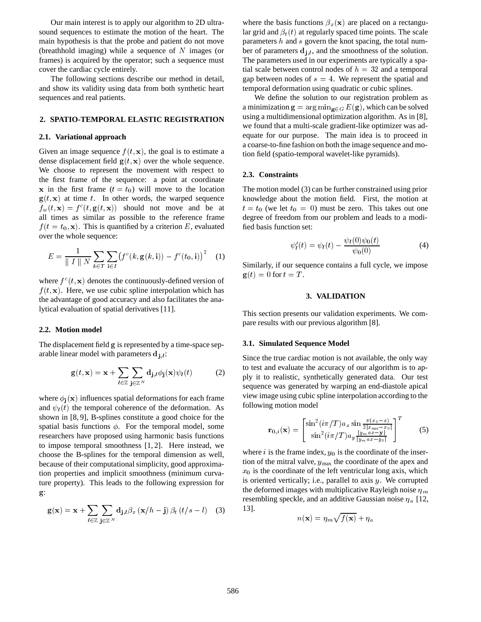Our main interest is to apply our algorithm to 2D ultrasound sequences to estimate the motion of the heart. The main hypothesis is that the probe and patient do not move (breathhold imaging) while a sequence of  $N$  images (or frames) is acquired by the operator; such a sequence must cover the cardiac cycle entirely.

The following sections describe our method in detail, and show its validity using data from both synthetic heart sequences and real patients.

## **2. SPATIO-TEMPORAL ELASTIC REGISTRATION**

## **2.1. Variational approach**

Given an image sequence  $f(t, x)$ , the goal is to estimate a dense displacement field  $g(t, x)$  over the whole sequence. We choose to represent the movement with respect to the first frame of the sequence: a point at coordinate x in the first frame  $(t = t_0)$  will move to the location  $g(t, x)$  at time t. In other words, the warped sequence  $f_w(t, \mathbf{x}) = f^c(t, \mathbf{g}(t, \mathbf{x}))$  should not move and be at all times as similar as possible to the reference frame  $f(t = t_0, \mathbf{x})$ . This is quantified by a criterion E, evaluated over the whole sequence:

$$
E = \frac{1}{\parallel I \parallel N} \sum_{k \in T} \sum_{\mathbf{i} \in I} \left( f^c(k, \mathbf{g}(k, \mathbf{i})) - f^c(t_0, \mathbf{i}) \right)^2 \quad (1)
$$

where  $f^c(t, \mathbf{x})$  denotes the continuously-defined version of  $f(t, \mathbf{x})$ . Here, we use cubic spline interpolation which has the advantage of good accuracy and also facilitates the analytical evaluation of spatial derivatives [11].

#### **2.2. Motion model**

The displacement field g is represented by a time-space separable linear model with parameters  $\mathbf{d}_{j,l}$ :

$$
\mathbf{g}(t,\mathbf{x}) = \mathbf{x} + \sum_{l \in \mathbb{Z}} \sum_{\mathbf{j} \in \mathbb{Z}^N} \mathbf{d}_{\mathbf{j},l} \phi_{\mathbf{j}}(\mathbf{x}) \psi_l(t) \tag{2}
$$

where  $\phi_i(x)$  influences spatial deformations for each frame and  $\psi_l(t)$  the temporal coherence of the deformation. As shown in [8, 9], B-splines constitute a good choice for the spatial basis functions  $\phi$ . For the temporal model, some researchers have proposed using harmonic basis functions to impose temporal smoothness [1, 2]. Here instead, we choose the B-splines for the temporal dimension as well, because of their computational simplicity, good approximation properties and implicit smoothness (minimum curvature property). This leads to the following expression for  $g$  :

$$
\mathbf{g}(\mathbf{x}) = \mathbf{x} + \sum_{l \in \mathbb{Z}} \sum_{\mathbf{j} \in \mathbb{Z}^N} \mathbf{d}_{\mathbf{j},l} \beta_x \left( \mathbf{x}/h - \mathbf{j} \right) \beta_t \left( t/s - l \right) \quad (3)
$$

where the basis functions  $\beta_x(\mathbf{x})$  are placed on a rectangular grid and  $\beta_t(t)$  at regularly spaced time points. The scale parameters  $h$  and  $s$  govern the knot spacing, the total number of parameters  $\mathbf{d}_{j,l}$ , and the smoothness of the solution. The parameters used in our experiments are typically a spatial scale between control nodes of  $h = 32$  and a temporal gap between nodes of  $s = 4$ . We represent the spatial and temporal deformation using quadratic or cubic splines.

We define the solution to our registration problem as a minimization  $\mathbf{g} = \arg \min_{\mathbf{g} \in G} E(\mathbf{g})$ , which can be solved using a multidimensional optimization algorithm. As in [8], we found that a multi-scale gradient-like optimizer was adequate for our purpose. The main idea is to proceed in a coarse-to-fine fashion on both the image sequence and motion field (spatio-temporal wavelet-like pyramids).

## **2.3. Constraints**

The motion model (3) can be further constrained using prior knowledge about the motion field. First, the motion at  $t = t_0$  (we let  $t_0 = 0$ ) must be zero. This takes out one degree of freedom from our problem and leads to a modified basis function set:

$$
\psi_l'(t) = \psi_l(t) - \frac{\psi_l(0)\psi_0(t)}{\psi_0(0)}
$$
(4)

Similarly, if our sequence contains a full cycle, we impose  $\mathbf{g}(t) = 0$  for  $t = T$ .

#### **3. VALIDATION**

This section presents our validation experiments. We compare results with our previous algorithm [8].

#### **3.1. Simulated Sequence Model**

Since the true cardiac motion is not available, the only way to test and evaluate the accuracy of our algorithm is to apply it to realistic, synthetically generated data. Our test sequence was generated by warping an end-diastole apical view image using cubic spline interpolation according to the following motion model

$$
\mathbf{r}_{0,i}(\mathbf{x}) = \begin{bmatrix} \sin^2(i\pi/T)a_x \sin\frac{\pi(x_0 - x)}{2|x_{\text{max}} - x_0|} \\ \sin^2(i\pi/T)a_y \frac{|y_m a x - y|}{|y_m a x - y_0|} \end{bmatrix}^T
$$
(5)

where  $i$  is the frame index,  $y_0$  is the coordinate of the insertion of the mitral valve,  $y_{\text{max}}$  the coordinate of the apex and  $x<sub>0</sub>$  is the coordinate of the left ventricular long axis, which is oriented vertically; i.e., parallel to axis  $y$ . We corrupted the deformed images with multiplicative Rayleigh noise  $\eta_m$ resembling speckle, and an additive Gaussian noise  $\eta_a$  [12, 13].

$$
n(\mathbf{x}) = \eta_m \sqrt{f(\mathbf{x})} + \eta_a
$$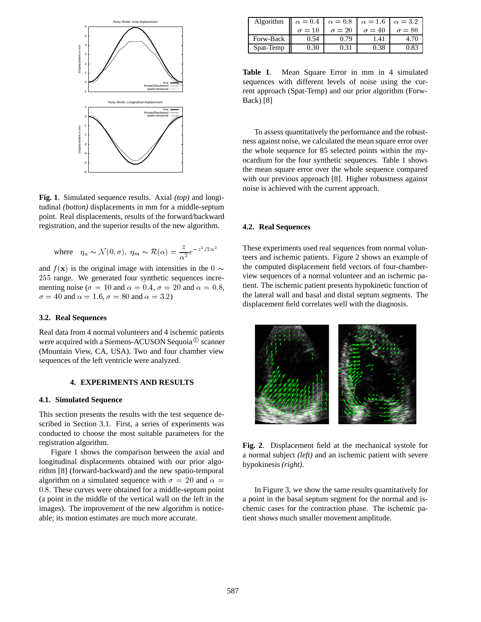

**Fig. 1**. Simulated sequence results. Axial *(top)* and longitudinal *(botton)* displacements in mm for a middle-septum point. Real displacements, results of the forward/backward registration, and the superior results of the new algorithm.

where 
$$
\eta_a \sim \mathcal{N}(0, \sigma)
$$
,  $\eta_m \sim \mathcal{R}(\alpha) = \frac{z}{\alpha^2} e^{-z^2/2\alpha^2}$ 

and  $f(\mathbf{x})$  is the original image with intensities in the 0  $\sim$  the comparison 255 range. We generated four synthetic sequences incrementing noise ( $\sigma = 10$  and  $\alpha = 0.4$ ,  $\sigma = 20$  and  $\alpha = 0.8$ ,  $\sigma = 40$  and  $\alpha = 1.6$ ,  $\sigma = 80$  and  $\alpha = 3.2$ )

## **3.2. Real Sequences**

Real data from 4 normal volunteers and 4 ischemic patients were acquired with a Siemens-ACUSON Sequoia $^{\circledR}$  scanner (Mountain View, CA, USA). Two and four chamber view sequences of the left ventricle were analyzed.

## **4. EXPERIMENTS AND RESULTS**

#### **4.1. Simulated Sequence**

This section presents the results with the test sequence described in Section 3.1. First, a series of experiments was conducted to choose the most suitable parameters for the registration algorithm.

Figure 1 shows the comparison between the axial and longitudinal displacements obtained with our prior algorithm [8] (forward-backward) and the new spatio-temporal algorithm on a simulated sequence with  $\sigma = 20$  and  $\alpha =$ 0.8. These curves were obtained for a middle-septum point (a point in the middle of the vertical wall on the left in the images). The improvement of the new algorithm is noticeable; its motion estimates are much more accurate.

| Algorithm | $\alpha = 0.4$ $\alpha = 0.8$ $\alpha = 1.6$ $\alpha = 3.2$ |               |               |               |
|-----------|-------------------------------------------------------------|---------------|---------------|---------------|
|           | $\sigma = 10$                                               | $\sigma = 20$ | $\sigma = 40$ | $\sigma = 80$ |
| Forw-Back | 0.54                                                        | 0.79          | 1.41          | 4.70          |
| Spat-Temp | 0.30                                                        | 0.31          |               | 0.83          |

**Table 1**. Mean Square Error in mm in 4 simulated sequences with different levels of noise using the current approach (Spat-Temp) and our prior algorithm (Forw-Back) [8]

To assess quantitatively the performance and the robustness against noise, we calculated the mean square error over the whole sequence for 85 selected points within the myocardium for the four synthetic sequences. Table 1 shows the mean square error over the whole sequence compared with our previous approach [8]. Higher robustness against noise is achieved with the current approach.

## **4.2. Real Sequences**

These experiments used real sequences from normal volunteers and ischemic patients. Figure 2 shows an example of the computed displacement field vectors of four-chamberview sequences of a normal volunteer and an ischemic patient. The ischemic patient presents hypokinetic function of the lateral wall and basal and distal septum segments. The displacement field correlates well with the diagnosis.



**Fig. 2**. Displacement field at the mechanical systole for a normal subject *(left)* and an ischemic patient with severe hypokinesis *(right)*.

In Figure 3, we show the same results quantitatively for a point in the basal septum segment for the normal and ischemic cases for the contraction phase. The ischemic patient shows much smaller movement amplitude.